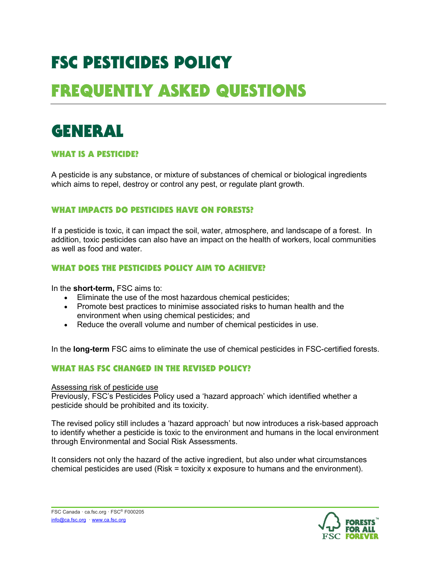# FSC PESTICIDES POLICY FREQUENTLY ASKED QUESTIONS

### GENERAL

#### WHAT IS A PESTICIDE?

A pesticide is any substance, or mixture of substances of chemical or biological ingredients which aims to repel, destroy or control any pest, or regulate plant growth.

#### WHAT IMPACTS DO PESTICIDES HAVE ON FORESTS?

If a pesticide is toxic, it can impact the soil, water, atmosphere, and landscape of a forest. In addition, toxic pesticides can also have an impact on the health of workers, local communities as well as food and water.

#### WHAT DOES THE PESTICIDES POLICY AIM TO ACHIEVE?

In the **short-term,** FSC aims to:

- Eliminate the use of the most hazardous chemical pesticides;
- Promote best practices to minimise associated risks to human health and the environment when using chemical pesticides; and
- Reduce the overall volume and number of chemical pesticides in use.

In the **long-term** FSC aims to eliminate the use of chemical pesticides in FSC-certified forests.

#### WHAT HAS FSC CHANGED IN THE REVISED POLICY?

Assessing risk of pesticide use

Previously, FSC's Pesticides Policy used a 'hazard approach' which identified whether a pesticide should be prohibited and its toxicity.

The revised policy still includes a 'hazard approach' but now introduces a risk-based approach to identify whether a pesticide is toxic to the environment and humans in the local environment through Environmental and Social Risk Assessments.

It considers not only the hazard of the active ingredient, but also under what circumstances chemical pesticides are used (Risk = toxicity x exposure to humans and the environment).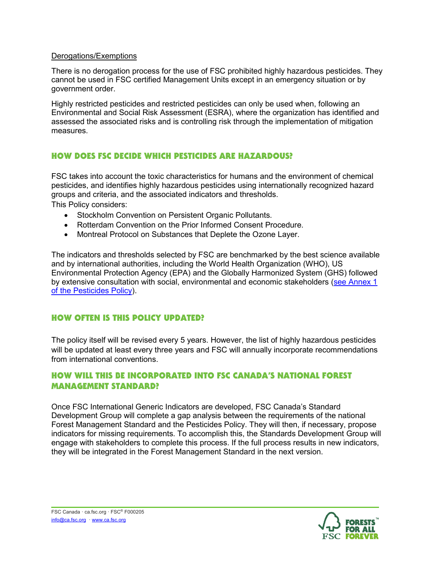#### Derogations/Exemptions

There is no derogation process for the use of FSC prohibited highly hazardous pesticides. They cannot be used in FSC certified Management Units except in an emergency situation or by government order.

Highly restricted pesticides and restricted pesticides can only be used when, following an Environmental and Social Risk Assessment (ESRA), where the organization has identified and assessed the associated risks and is controlling risk through the implementation of mitigation measures.

#### HOW DOES FSC DECIDE WHICH PESTICIDES ARE HAZARDOUS?

FSC takes into account the toxic characteristics for humans and the environment of chemical pesticides, and identifies highly hazardous pesticides using internationally recognized hazard groups and criteria, and the associated indicators and thresholds.

This Policy considers:

- Stockholm Convention on Persistent Organic Pollutants.
- Rotterdam Convention on the Prior Informed Consent Procedure.
- Montreal Protocol on Substances that Deplete the Ozone Layer.

The indicators and thresholds selected by FSC are benchmarked by the best science available and by international authorities, including the World Health Organization (WHO), US Environmental Protection Agency (EPA) and the Globally Harmonized System (GHS) followed by extensive consultation with social, environmental and economic stakeholders [\(see Annex 1](https://ca.fsc.org/preview.fsc-pesticides-policy-fsc-pol-30-001-v3-en.a-2441.pdf)  [of the Pesticides Policy\)](https://ca.fsc.org/preview.fsc-pesticides-policy-fsc-pol-30-001-v3-en.a-2441.pdf).

#### HOW OFTEN IS THIS POLICY UPDATED?

The policy itself will be revised every 5 years. However, the list of highly hazardous pesticides will be updated at least every three years and FSC will annually incorporate recommendations from international conventions.

#### HOW WILL THIS BE INCORPORATED INTO FSC CANADA'S NATIONAL FOREST MANAGEMENT STANDARD?

Once FSC International Generic Indicators are developed, FSC Canada's Standard Development Group will complete a gap analysis between the requirements of the national Forest Management Standard and the Pesticides Policy. They will then, if necessary, propose indicators for missing requirements. To accomplish this, the Standards Development Group will engage with stakeholders to complete this process. If the full process results in new indicators, they will be integrated in the Forest Management Standard in the next version.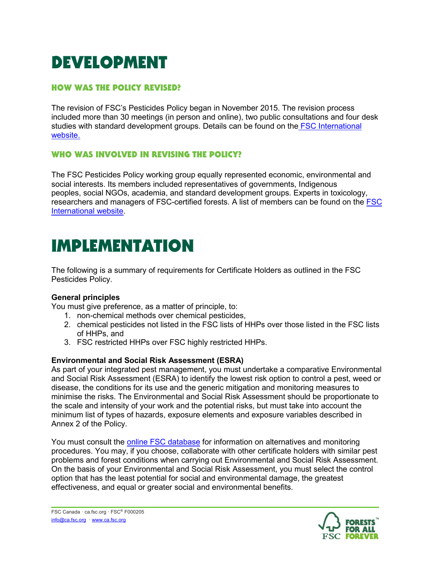## DEVELOPMENT

#### HOW WAS THE POLICY REVISED?

The revision of FSC's Pesticides Policy began in November 2015. The revision process included more than 30 meetings (in person and online), two public consultations and four desk studies with standard development groups. Details can be found on the **FSC** International [website.](https://ic.fsc.org/en/fsc-system/current-processes/fsc-pesticides-policy-fsc-pol-30-001)

#### WHO WAS INVOLVED IN REVISING THE POLICY?

The FSC Pesticides Policy working group equally represented economic, environmental and social interests. Its members included representatives of governments, Indigenous peoples, social NGOs, academia, and standard development groups. Experts in toxicology, researchers and managers of FSC-certified forests. A list of members can be found on the [FSC](https://ic.fsc.org/en/fsc-system/current-processes/fsc-pesticides-policy-fsc-pol-30-001)  [International website.](https://ic.fsc.org/en/fsc-system/current-processes/fsc-pesticides-policy-fsc-pol-30-001)

### IMPLEMENTATION

The following is a summary of requirements for Certificate Holders as outlined in the FSC Pesticides Policy.

#### **General principles**

You must give preference, as a matter of principle, to:

- 1. non-chemical methods over chemical pesticides,
- 2. chemical pesticides not listed in the FSC lists of HHPs over those listed in the FSC lists of HHPs, and
- 3. FSC restricted HHPs over FSC highly restricted HHPs.

#### **Environmental and Social Risk Assessment (ESRA)**

As part of your integrated pest management, you must undertake a comparative Environmental and Social Risk Assessment (ESRA) to identify the lowest risk option to control a pest, weed or disease, the conditions for its use and the generic mitigation and monitoring measures to minimise the risks. The Environmental and Social Risk Assessment should be proportionate to the scale and intensity of your work and the potential risks, but must take into account the minimum list of types of hazards, exposure elements and exposure variables described in Annex 2 of the Policy.

You must consult the [online FSC database](http://pesticides.fsc.org/strategy-database) for information on alternatives and monitoring procedures. You may, if you choose, collaborate with other certificate holders with similar pest problems and forest conditions when carrying out Environmental and Social Risk Assessment. On the basis of your Environmental and Social Risk Assessment, you must select the control option that has the least potential for social and environmental damage, the greatest effectiveness, and equal or greater social and environmental benefits.

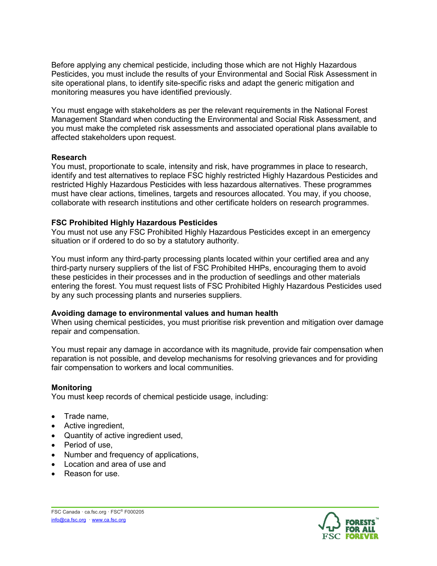Before applying any chemical pesticide, including those which are not Highly Hazardous Pesticides, you must include the results of your Environmental and Social Risk Assessment in site operational plans, to identify site-specific risks and adapt the generic mitigation and monitoring measures you have identified previously.

You must engage with stakeholders as per the relevant requirements in the National Forest Management Standard when conducting the Environmental and Social Risk Assessment, and you must make the completed risk assessments and associated operational plans available to affected stakeholders upon request.

#### **Research**

You must, proportionate to scale, intensity and risk, have programmes in place to research, identify and test alternatives to replace FSC highly restricted Highly Hazardous Pesticides and restricted Highly Hazardous Pesticides with less hazardous alternatives. These programmes must have clear actions, timelines, targets and resources allocated. You may, if you choose, collaborate with research institutions and other certificate holders on research programmes.

#### **FSC Prohibited Highly Hazardous Pesticides**

You must not use any FSC Prohibited Highly Hazardous Pesticides except in an emergency situation or if ordered to do so by a statutory authority.

You must inform any third-party processing plants located within your certified area and any third-party nursery suppliers of the list of FSC Prohibited HHPs, encouraging them to avoid these pesticides in their processes and in the production of seedlings and other materials entering the forest. You must request lists of FSC Prohibited Highly Hazardous Pesticides used by any such processing plants and nurseries suppliers.

#### **Avoiding damage to environmental values and human health**

When using chemical pesticides, you must prioritise risk prevention and mitigation over damage repair and compensation.

You must repair any damage in accordance with its magnitude, provide fair compensation when reparation is not possible, and develop mechanisms for resolving grievances and for providing fair compensation to workers and local communities.

#### **Monitoring**

You must keep records of chemical pesticide usage, including:

- Trade name,
- Active ingredient,
- Quantity of active ingredient used,
- Period of use,
- Number and frequency of applications,
- Location and area of use and
- Reason for use.



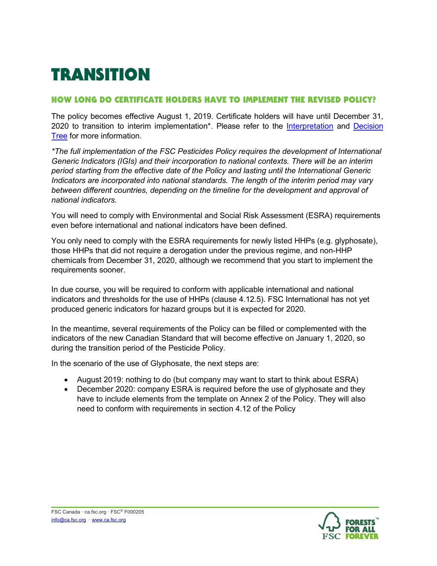## **TRANSITION**

#### HOW LONG DO CERTIFICATE HOLDERS HAVE TO IMPLEMENT THE REVISED POLICY?

The policy becomes effective August 1, 2019. Certificate holders will have until December 31, 2020 to transition to interim implementation<sup>\*</sup>. Please refer to the [Interpretation](https://ca.fsc.org/preview.interpretation-on-pesticides.a-2442.pdf) and Decision Tree for more information.

*\*The full implementation of the FSC Pesticides Policy requires the development of International Generic Indicators (IGIs) and their incorporation to national contexts. There will be an interim period starting from the effective date of the Policy and lasting until the International Generic Indicators are incorporated into national standards. The length of the interim period may vary between different countries, depending on the timeline for the development and approval of national indicators.*

You will need to comply with Environmental and Social Risk Assessment (ESRA) requirements even before international and national indicators have been defined.

You only need to comply with the ESRA requirements for newly listed HHPs (e.g. glyphosate), those HHPs that did not require a derogation under the previous regime, and non-HHP chemicals from December 31, 2020, although we recommend that you start to implement the requirements sooner.

In due course, you will be required to conform with applicable international and national indicators and thresholds for the use of HHPs (clause 4.12.5). FSC International has not yet produced generic indicators for hazard groups but it is expected for 2020.

In the meantime, several requirements of the Policy can be filled or complemented with the indicators of the new Canadian Standard that will become effective on January 1, 2020, so during the transition period of the Pesticide Policy.

In the scenario of the use of Glyphosate, the next steps are:

- August 2019: nothing to do (but company may want to start to think about ESRA)
- December 2020: company ESRA is required before the use of glyphosate and they have to include elements from the template on Annex 2 of the Policy. They will also need to conform with requirements in section 4.12 of the Policy

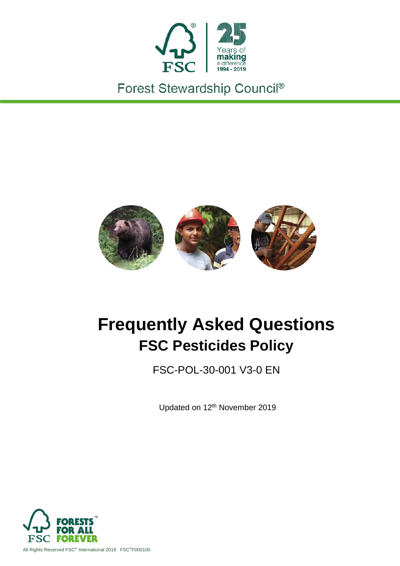

Forest Stewardship Council®



## **Frequently Asked Questions FSC Pesticides Policy**

FSC-POL-30-001 V3-0 EN

Updated on 12<sup>th</sup> November 2019

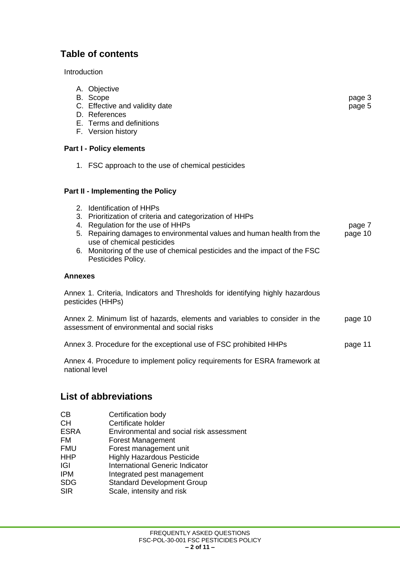#### **Table of contents**

**Introduction** 

A. Objective<br>B. Scope B. Scope page 3 C. Effective and validity date **page 5** D. References E. Terms and definitions F. Version history **Part I - Policy elements**  1. FSC approach to the use of chemical pesticides **Part II - Implementing the Policy** 2. Identification of HHPs 3. Prioritization of criteria and categorization of HHPs 4. Regulation for the use of HHPs page 7 5. Repairing damages to environmental values and human health from the use of chemical pesticides page 10 6. Monitoring of the use of chemical pesticides and the impact of the FSC Pesticides Policy. **Annexes** Annex 1. Criteria, Indicators and Thresholds for identifying highly hazardous pesticides (HHPs) Annex 2. Minimum list of hazards, elements and variables to consider in the assessment of environmental and social risks page 10 Annex 3. Procedure for the exceptional use of FSC prohibited HHPs page 11 Annex 4. Procedure to implement policy requirements for ESRA framework at national level

#### **List of abbreviations**

- CB Certification body
- CH Certificate holder<br>
FSRA Fnvironmental an Environmental and social risk assessment
- FM Forest Management
- FMU Forest management unit
- HHP Highly Hazardous Pesticide
- **IGI** International Generic Indicator
- IPM Integrated pest management
- SDG Standard Development Group
- SIR Scale, intensity and risk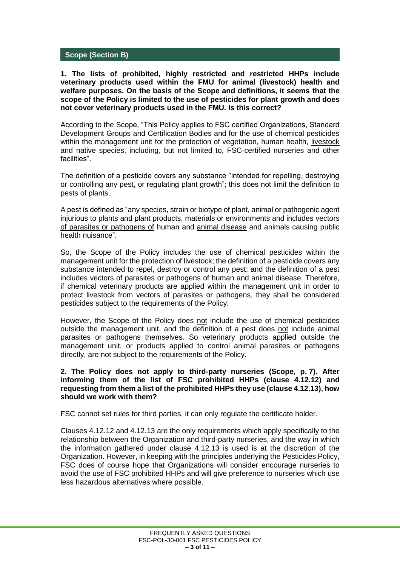#### **Scope (Section B)**

**1. The lists of prohibited, highly restricted and restricted HHPs include veterinary products used within the FMU for animal (livestock) health and welfare purposes. On the basis of the Scope and definitions, it seems that the scope of the Policy is limited to the use of pesticides for plant growth and does not cover veterinary products used in the FMU. Is this correct?**

According to the Scope, "This Policy applies to FSC certified Organizations, Standard Development Groups and Certification Bodies and for the use of chemical pesticides within the management unit for the protection of vegetation, human health, livestock and native species, including, but not limited to, FSC-certified nurseries and other facilities".

The definition of a pesticide covers any substance "intended for repelling, destroying or controlling any pest, or regulating plant growth"; this does not limit the definition to pests of plants.

A pest is defined as "any species, strain or biotype of plant, animal or pathogenic agent injurious to plants and plant products, materials or environments and includes vectors of parasites or pathogens of human and animal disease and animals causing public health nuisance".

So, the Scope of the Policy includes the use of chemical pesticides within the management unit for the protection of livestock; the definition of a pesticide covers any substance intended to repel, destroy or control any pest; and the definition of a pest includes vectors of parasites or pathogens of human and animal disease. Therefore, if chemical veterinary products are applied within the management unit in order to protect livestock from vectors of parasites or pathogens, they shall be considered pesticides subject to the requirements of the Policy.

However, the Scope of the Policy does not include the use of chemical pesticides outside the management unit, and the definition of a pest does not include animal parasites or pathogens themselves. So veterinary products applied outside the management unit, or products applied to control animal parasites or pathogens directly, are not subject to the requirements of the Policy.

**2. The Policy does not apply to third-party nurseries (Scope, p. 7). After informing them of the list of FSC prohibited HHPs (clause 4.12.12) and requesting from them a list of the prohibited HHPs they use (clause 4.12.13), how should we work with them?**

FSC cannot set rules for third parties, it can only regulate the certificate holder.

Clauses 4.12.12 and 4.12.13 are the only requirements which apply specifically to the relationship between the Organization and third-party nurseries, and the way in which the information gathered under clause 4.12.13 is used is at the discretion of the Organization. However, in keeping with the principles underlying the Pesticides Policy, FSC does of course hope that Organizations will consider encourage nurseries to avoid the use of FSC prohibited HHPs and will give preference to nurseries which use less hazardous alternatives where possible.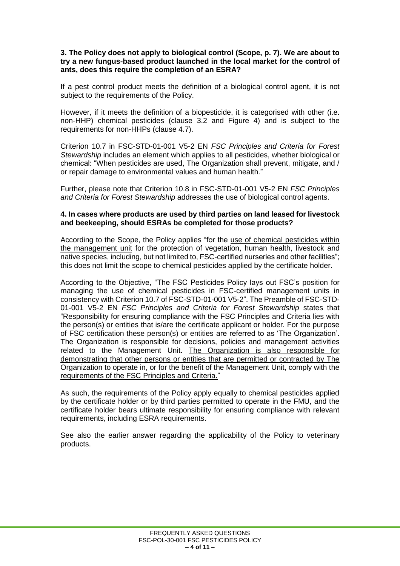#### **3. The Policy does not apply to biological control (Scope, p. 7). We are about to try a new fungus-based product launched in the local market for the control of ants, does this require the completion of an ESRA?**

If a pest control product meets the definition of a biological control agent, it is not subject to the requirements of the Policy.

However, if it meets the definition of a biopesticide, it is categorised with other (i.e. non-HHP) chemical pesticides (clause 3.2 and Figure 4) and is subject to the requirements for non-HHPs (clause 4.7).

Criterion 10.7 in FSC-STD-01-001 V5-2 EN *FSC Principles and Criteria for Forest Stewardship* includes an element which applies to all pesticides, whether biological or chemical: "When pesticides are used, The Organization shall prevent, mitigate, and / or repair damage to environmental values and human health."

Further, please note that Criterion 10.8 in FSC-STD-01-001 V5-2 EN *FSC Principles and Criteria for Forest Stewardship* addresses the use of biological control agents.

#### **4. In cases where products are used by third parties on land leased for livestock and beekeeping, should ESRAs be completed for those products?**

According to the Scope, the Policy applies "for the use of chemical pesticides within the management unit for the protection of vegetation, human health, livestock and native species, including, but not limited to, FSC-certified nurseries and other facilities"; this does not limit the scope to chemical pesticides applied by the certificate holder.

According to the Objective, "The FSC Pesticides Policy lays out FSC's position for managing the use of chemical pesticides in FSC-certified management units in consistency with Criterion 10.7 of FSC-STD-01-001 V5-2". The Preamble of FSC-STD-01-001 V5-2 EN *FSC Principles and Criteria for Forest Stewardship* states that "Responsibility for ensuring compliance with the FSC Principles and Criteria lies with the person(s) or entities that is/are the certificate applicant or holder. For the purpose of FSC certification these person(s) or entities are referred to as 'The Organization'. The Organization is responsible for decisions, policies and management activities related to the Management Unit. The Organization is also responsible for demonstrating that other persons or entities that are permitted or contracted by The Organization to operate in, or for the benefit of the Management Unit, comply with the requirements of the FSC Principles and Criteria."

As such, the requirements of the Policy apply equally to chemical pesticides applied by the certificate holder or by third parties permitted to operate in the FMU, and the certificate holder bears ultimate responsibility for ensuring compliance with relevant requirements, including ESRA requirements.

See also the earlier answer regarding the applicability of the Policy to veterinary products.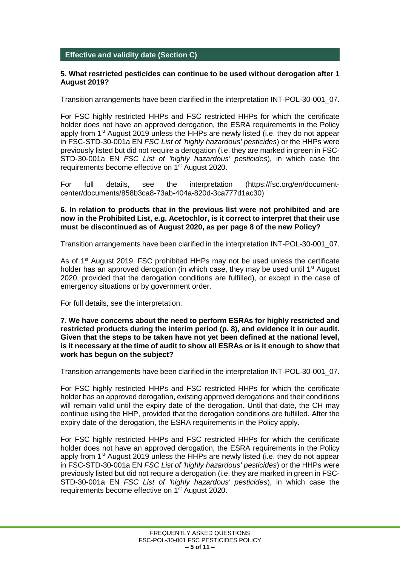#### **Effective and validity date (Section C)**

#### **5. What restricted pesticides can continue to be used without derogation after 1 August 2019?**

Transition arrangements have been clarified in the interpretation INT-POL-30-001\_07.

For FSC highly restricted HHPs and FSC restricted HHPs for which the certificate holder does not have an approved derogation, the ESRA requirements in the Policy apply from  $1<sup>st</sup>$  August 2019 unless the HHPs are newly listed (i.e. they do not appear in FSC-STD-30-001a EN *FSC List of 'highly hazardous' pesticides*) or the HHPs were previously listed but did not require a derogation (i.e. they are marked in green in FSC-STD-30-001a EN *FSC List of 'highly hazardous' pesticides*), in which case the requirements become effective on 1<sup>st</sup> August 2020.

For full details, see the interpretation (https://fsc.org/en/documentcenter/documents/858b3ca8-73ab-404a-820d-3ca777d1ac30)

#### **6. In relation to products that in the previous list were not prohibited and are now in the Prohibited List, e.g. Acetochlor, is it correct to interpret that their use must be discontinued as of August 2020, as per page 8 of the new Policy?**

Transition arrangements have been clarified in the interpretation INT-POL-30-001\_07.

As of 1<sup>st</sup> August 2019, FSC prohibited HHPs may not be used unless the certificate holder has an approved derogation (in which case, they may be used until 1<sup>st</sup> August 2020, provided that the derogation conditions are fulfilled), or except in the case of emergency situations or by government order.

For full details, see the interpretation.

#### **7. We have concerns about the need to perform ESRAs for highly restricted and restricted products during the interim period (p. 8), and evidence it in our audit. Given that the steps to be taken have not yet been defined at the national level, is it necessary at the time of audit to show all ESRAs or is it enough to show that work has begun on the subject?**

Transition arrangements have been clarified in the interpretation INT-POL-30-001\_07.

For FSC highly restricted HHPs and FSC restricted HHPs for which the certificate holder has an approved derogation, existing approved derogations and their conditions will remain valid until the expiry date of the derogation. Until that date, the CH may continue using the HHP, provided that the derogation conditions are fulfilled. After the expiry date of the derogation, the ESRA requirements in the Policy apply.

For FSC highly restricted HHPs and FSC restricted HHPs for which the certificate holder does not have an approved derogation, the ESRA requirements in the Policy apply from 1<sup>st</sup> August 2019 unless the HHPs are newly listed (i.e. they do not appear in FSC-STD-30-001a EN *FSC List of 'highly hazardous' pesticides*) or the HHPs were previously listed but did not require a derogation (i.e. they are marked in green in FSC-STD-30-001a EN *FSC List of 'highly hazardous' pesticides*), in which case the requirements become effective on 1<sup>st</sup> August 2020.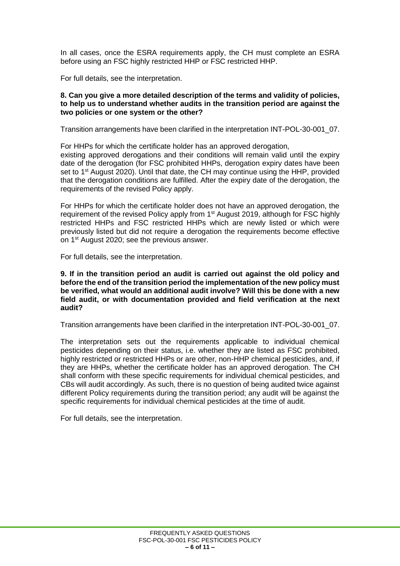In all cases, once the ESRA requirements apply, the CH must complete an ESRA before using an FSC highly restricted HHP or FSC restricted HHP.

For full details, see the interpretation.

#### **8. Can you give a more detailed description of the terms and validity of policies, to help us to understand whether audits in the transition period are against the two policies or one system or the other?**

Transition arrangements have been clarified in the interpretation INT-POL-30-001\_07.

For HHPs for which the certificate holder has an approved derogation, existing approved derogations and their conditions will remain valid until the expiry date of the derogation (for FSC prohibited HHPs, derogation expiry dates have been set to 1<sup>st</sup> August 2020). Until that date, the CH may continue using the HHP, provided that the derogation conditions are fulfilled. After the expiry date of the derogation, the requirements of the revised Policy apply.

For HHPs for which the certificate holder does not have an approved derogation, the requirement of the revised Policy apply from 1<sup>st</sup> August 2019, although for FSC highly restricted HHPs and FSC restricted HHPs which are newly listed or which were previously listed but did not require a derogation the requirements become effective on 1<sup>st</sup> August 2020; see the previous answer.

For full details, see the interpretation.

**9. If in the transition period an audit is carried out against the old policy and before the end of the transition period the implementation of the new policy must be verified, what would an additional audit involve? Will this be done with a new field audit, or with documentation provided and field verification at the next audit?**

Transition arrangements have been clarified in the interpretation INT-POL-30-001\_07.

The interpretation sets out the requirements applicable to individual chemical pesticides depending on their status, i.e. whether they are listed as FSC prohibited, highly restricted or restricted HHPs or are other, non-HHP chemical pesticides, and, if they are HHPs, whether the certificate holder has an approved derogation. The CH shall conform with these specific requirements for individual chemical pesticides, and CBs will audit accordingly. As such, there is no question of being audited twice against different Policy requirements during the transition period; any audit will be against the specific requirements for individual chemical pesticides at the time of audit.

For full details, see the interpretation.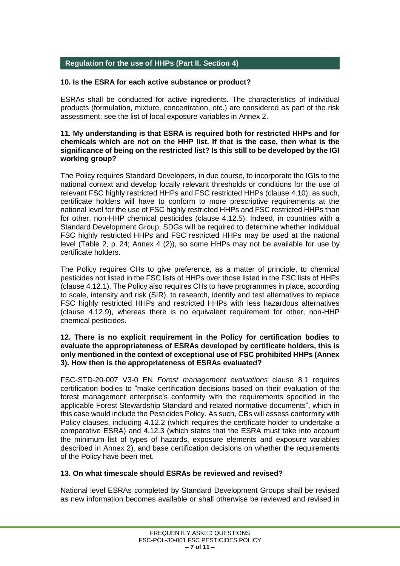#### **Regulation for the use of HHPs (Part II. Section 4)**

#### **10. Is the ESRA for each active substance or product?**

ESRAs shall be conducted for active ingredients. The characteristics of individual products (formulation, mixture, concentration, etc.) are considered as part of the risk assessment; see the list of local exposure variables in Annex 2.

#### **11. My understanding is that ESRA is required both for restricted HHPs and for chemicals which are not on the HHP list. If that is the case, then what is the significance of being on the restricted list? Is this still to be developed by the IGI working group?**

The Policy requires Standard Developers, in due course, to incorporate the IGIs to the national context and develop locally relevant thresholds or conditions for the use of relevant FSC highly restricted HHPs and FSC restricted HHPs (clause 4.10); as such, certificate holders will have to conform to more prescriptive requirements at the national level for the use of FSC highly restricted HHPs and FSC restricted HHPs than for other, non-HHP chemical pesticides (clause 4.12.5). Indeed, in countries with a Standard Development Group, SDGs will be required to determine whether individual FSC highly restricted HHPs and FSC restricted HHPs may be used at the national level (Table 2, p. 24; Annex 4 (2)), so some HHPs may not be available for use by certificate holders.

The Policy requires CHs to give preference, as a matter of principle, to chemical pesticides not listed in the FSC lists of HHPs over those listed in the FSC lists of HHPs (clause 4.12.1). The Policy also requires CHs to have programmes in place, according to scale, intensity and risk (SIR), to research, identify and test alternatives to replace FSC highly restricted HHPs and restricted HHPs with less hazardous alternatives (clause 4.12.9), whereas there is no equivalent requirement for other, non-HHP chemical pesticides.

#### **12. There is no explicit requirement in the Policy for certification bodies to evaluate the appropriateness of ESRAs developed by certificate holders, this is only mentioned in the context of exceptional use of FSC prohibited HHPs (Annex 3). How then is the appropriateness of ESRAs evaluated?**

FSC-STD-20-007 V3-0 EN *Forest management evaluations* clause 8.1 requires certification bodies to "make certification decisions based on their evaluation of the forest management enterprise's conformity with the requirements specified in the applicable Forest Stewardship Standard and related normative documents", which in this case would include the Pesticides Policy. As such, CBs will assess conformity with Policy clauses, including 4.12.2 (which requires the certificate holder to undertake a comparative ESRA) and 4.12.3 (which states that the ESRA must take into account the minimum list of types of hazards, exposure elements and exposure variables described in Annex 2), and base certification decisions on whether the requirements of the Policy have been met.

#### **13. On what timescale should ESRAs be reviewed and revised?**

National level ESRAs completed by Standard Development Groups shall be revised as new information becomes available or shall otherwise be reviewed and revised in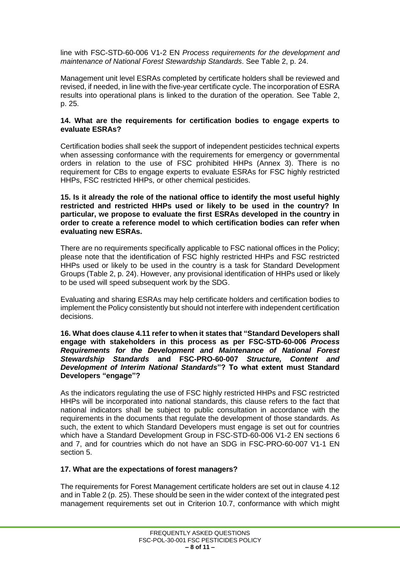line with FSC-STD-60-006 V1-2 EN *Process requirements for the development and maintenance of National Forest Stewardship Standards*. See Table 2, p. 24.

Management unit level ESRAs completed by certificate holders shall be reviewed and revised, if needed, in line with the five-year certificate cycle. The incorporation of ESRA results into operational plans is linked to the duration of the operation. See Table 2, p. 25.

#### **14. What are the requirements for certification bodies to engage experts to evaluate ESRAs?**

Certification bodies shall seek the support of independent pesticides technical experts when assessing conformance with the requirements for emergency or governmental orders in relation to the use of FSC prohibited HHPs (Annex 3). There is no requirement for CBs to engage experts to evaluate ESRAs for FSC highly restricted HHPs, FSC restricted HHPs, or other chemical pesticides.

**15. Is it already the role of the national office to identify the most useful highly restricted and restricted HHPs used or likely to be used in the country? In particular, we propose to evaluate the first ESRAs developed in the country in order to create a reference model to which certification bodies can refer when evaluating new ESRAs.**

There are no requirements specifically applicable to FSC national offices in the Policy; please note that the identification of FSC highly restricted HHPs and FSC restricted HHPs used or likely to be used in the country is a task for Standard Development Groups (Table 2, p. 24). However, any provisional identification of HHPs used or likely to be used will speed subsequent work by the SDG.

Evaluating and sharing ESRAs may help certificate holders and certification bodies to implement the Policy consistently but should not interfere with independent certification decisions.

**16. What does clause 4.11 refer to when it states that "Standard Developers shall engage with stakeholders in this process as per FSC-STD-60-006** *Process Requirements for the Development and Maintenance of National Forest Stewardship Standards* **and FSC-PRO-60-007** *Structure, Content and Development of Interim National Standards***"? To what extent must Standard Developers "engage"?**

As the indicators regulating the use of FSC highly restricted HHPs and FSC restricted HHPs will be incorporated into national standards, this clause refers to the fact that national indicators shall be subject to public consultation in accordance with the requirements in the documents that regulate the development of those standards. As such, the extent to which Standard Developers must engage is set out for countries which have a Standard Development Group in FSC-STD-60-006 V1-2 EN sections 6 and 7, and for countries which do not have an SDG in FSC-PRO-60-007 V1-1 EN section 5.

#### **17. What are the expectations of forest managers?**

The requirements for Forest Management certificate holders are set out in clause 4.12 and in Table 2 (p. 25). These should be seen in the wider context of the integrated pest management requirements set out in Criterion 10.7, conformance with which might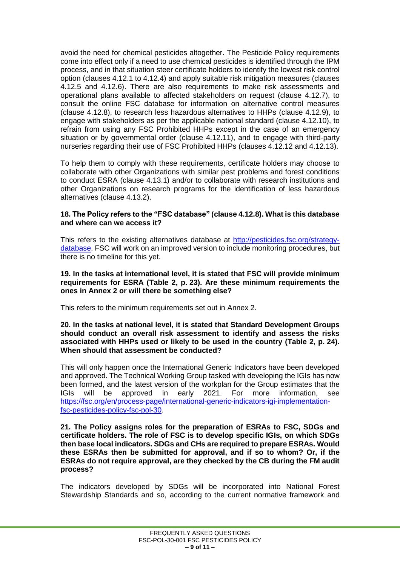avoid the need for chemical pesticides altogether. The Pesticide Policy requirements come into effect only if a need to use chemical pesticides is identified through the IPM process, and in that situation steer certificate holders to identify the lowest risk control option (clauses 4.12.1 to 4.12.4) and apply suitable risk mitigation measures (clauses 4.12.5 and 4.12.6). There are also requirements to make risk assessments and operational plans available to affected stakeholders on request (clause 4.12.7), to consult the online FSC database for information on alternative control measures (clause 4.12.8), to research less hazardous alternatives to HHPs (clause 4.12.9), to engage with stakeholders as per the applicable national standard (clause 4.12.10), to refrain from using any FSC Prohibited HHPs except in the case of an emergency situation or by governmental order (clause 4.12.11), and to engage with third-party nurseries regarding their use of FSC Prohibited HHPs (clauses 4.12.12 and 4.12.13).

To help them to comply with these requirements, certificate holders may choose to collaborate with other Organizations with similar pest problems and forest conditions to conduct ESRA (clause 4.13.1) and/or to collaborate with research institutions and other Organizations on research programs for the identification of less hazardous alternatives (clause 4.13.2).

#### **18. The Policy refers to the "FSC database" (clause 4.12.8). What is this database and where can we access it?**

This refers to the existing alternatives database at [http://pesticides.fsc.org/strategy](http://pesticides.fsc.org/strategy-database)[database.](http://pesticides.fsc.org/strategy-database) FSC will work on an improved version to include monitoring procedures, but there is no timeline for this yet.

#### **19. In the tasks at international level, it is stated that FSC will provide minimum requirements for ESRA (Table 2, p. 23). Are these minimum requirements the ones in Annex 2 or will there be something else?**

This refers to the minimum requirements set out in Annex 2.

#### **20. In the tasks at national level, it is stated that Standard Development Groups should conduct an overall risk assessment to identify and assess the risks associated with HHPs used or likely to be used in the country (Table 2, p. 24). When should that assessment be conducted?**

This will only happen once the International Generic Indicators have been developed and approved. The Technical Working Group tasked with developing the IGIs has now been formed, and the latest version of the workplan for the Group estimates that the IGIs will be approved in early 2021. For more information, see [https://fsc.org/en/process-page/international-generic-indicators-igi-implementation](https://fsc.org/en/process-page/international-generic-indicators-igi-implementation-fsc-pesticides-policy-fsc-pol-30)[fsc-pesticides-policy-fsc-pol-30.](https://fsc.org/en/process-page/international-generic-indicators-igi-implementation-fsc-pesticides-policy-fsc-pol-30)

#### **21. The Policy assigns roles for the preparation of ESRAs to FSC, SDGs and certificate holders. The role of FSC is to develop specific IGIs, on which SDGs then base local indicators. SDGs and CHs are required to prepare ESRAs. Would these ESRAs then be submitted for approval, and if so to whom? Or, if the ESRAs do not require approval, are they checked by the CB during the FM audit process?**

The indicators developed by SDGs will be incorporated into National Forest Stewardship Standards and so, according to the current normative framework and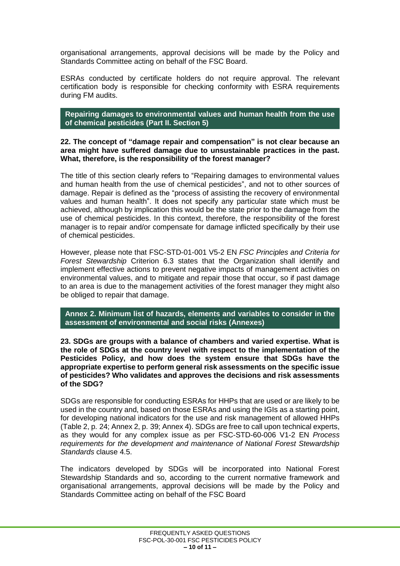organisational arrangements, approval decisions will be made by the Policy and Standards Committee acting on behalf of the FSC Board.

ESRAs conducted by certificate holders do not require approval. The relevant certification body is responsible for checking conformity with ESRA requirements during FM audits.

**Repairing damages to environmental values and human health from the use of chemical pesticides (Part II. Section 5)**

#### **22. The concept of "damage repair and compensation" is not clear because an area might have suffered damage due to unsustainable practices in the past. What, therefore, is the responsibility of the forest manager?**

The title of this section clearly refers to "Repairing damages to environmental values and human health from the use of chemical pesticides", and not to other sources of damage. Repair is defined as the "process of assisting the recovery of environmental values and human health". It does not specify any particular state which must be achieved, although by implication this would be the state prior to the damage from the use of chemical pesticides. In this context, therefore, the responsibility of the forest manager is to repair and/or compensate for damage inflicted specifically by their use of chemical pesticides.

However, please note that FSC-STD-01-001 V5-2 EN *FSC Principles and Criteria for Forest Stewardship* Criterion 6.3 states that the Organization shall identify and implement effective actions to prevent negative impacts of management activities on environmental values, and to mitigate and repair those that occur, so if past damage to an area is due to the management activities of the forest manager they might also be obliged to repair that damage.

**Annex 2. Minimum list of hazards, elements and variables to consider in the assessment of environmental and social risks (Annexes)**

**23. SDGs are groups with a balance of chambers and varied expertise. What is the role of SDGs at the country level with respect to the implementation of the Pesticides Policy, and how does the system ensure that SDGs have the appropriate expertise to perform general risk assessments on the specific issue of pesticides? Who validates and approves the decisions and risk assessments of the SDG?**

SDGs are responsible for conducting ESRAs for HHPs that are used or are likely to be used in the country and, based on those ESRAs and using the IGIs as a starting point, for developing national indicators for the use and risk management of allowed HHPs (Table 2, p. 24; Annex 2, p. 39; Annex 4). SDGs are free to call upon technical experts, as they would for any complex issue as per FSC-STD-60-006 V1-2 EN *Process requirements for the development and maintenance of National Forest Stewardship Standards* clause 4.5.

The indicators developed by SDGs will be incorporated into National Forest Stewardship Standards and so, according to the current normative framework and organisational arrangements, approval decisions will be made by the Policy and Standards Committee acting on behalf of the FSC Board